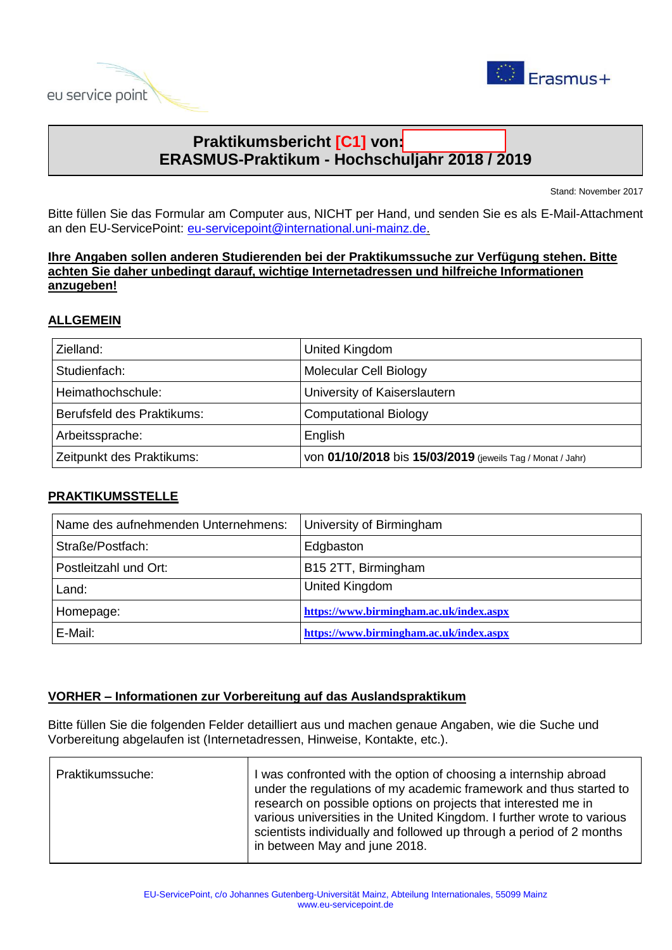



# **Praktikumsbericht** [C1] von: **ERASMUS-Praktikum - Hochschuljahr 2018 / 2019**

Stand: November 2017

Bitte füllen Sie das Formular am Computer aus, NICHT per Hand, und senden Sie es als E-Mail-Attachment an den EU-ServicePoint: [eu-servicepoint@international.uni-mainz.de.](mailto:eu-servicepoint@international.uni-mainz.de)

**Ihre Angaben sollen anderen Studierenden bei der Praktikumssuche zur Verfügung stehen. Bitte achten Sie daher unbedingt darauf, wichtige Internetadressen und hilfreiche Informationen anzugeben!**

# **ALLGEMEIN**

| Zielland:                  | United Kingdom                                             |  |
|----------------------------|------------------------------------------------------------|--|
| Studienfach:               | Molecular Cell Biology                                     |  |
| Heimathochschule:          | University of Kaiserslautern                               |  |
| Berufsfeld des Praktikums: | <b>Computational Biology</b>                               |  |
| Arbeitssprache:            | English                                                    |  |
| Zeitpunkt des Praktikums:  | VON 01/10/2018 bis 15/03/2019 (jeweils Tag / Monat / Jahr) |  |

# **PRAKTIKUMSSTELLE**

| Name des aufnehmenden Unternehmens: | University of Birmingham                |  |
|-------------------------------------|-----------------------------------------|--|
| Straße/Postfach:                    | Edgbaston                               |  |
| Postleitzahl und Ort:               | B15 2TT, Birmingham                     |  |
| Land:                               | United Kingdom                          |  |
| Homepage:                           | https://www.birmingham.ac.uk/index.aspx |  |
| E-Mail:                             | https://www.birmingham.ac.uk/index.aspx |  |

### **VORHER – Informationen zur Vorbereitung auf das Auslandspraktikum**

Bitte füllen Sie die folgenden Felder detailliert aus und machen genaue Angaben, wie die Suche und Vorbereitung abgelaufen ist (Internetadressen, Hinweise, Kontakte, etc.).

| Praktikumssuche: | I was confronted with the option of choosing a internship abroad<br>under the regulations of my academic framework and thus started to<br>research on possible options on projects that interested me in<br>various universities in the United Kingdom. I further wrote to various<br>scientists individually and followed up through a period of 2 months<br>in between May and june 2018. |
|------------------|---------------------------------------------------------------------------------------------------------------------------------------------------------------------------------------------------------------------------------------------------------------------------------------------------------------------------------------------------------------------------------------------|
|                  |                                                                                                                                                                                                                                                                                                                                                                                             |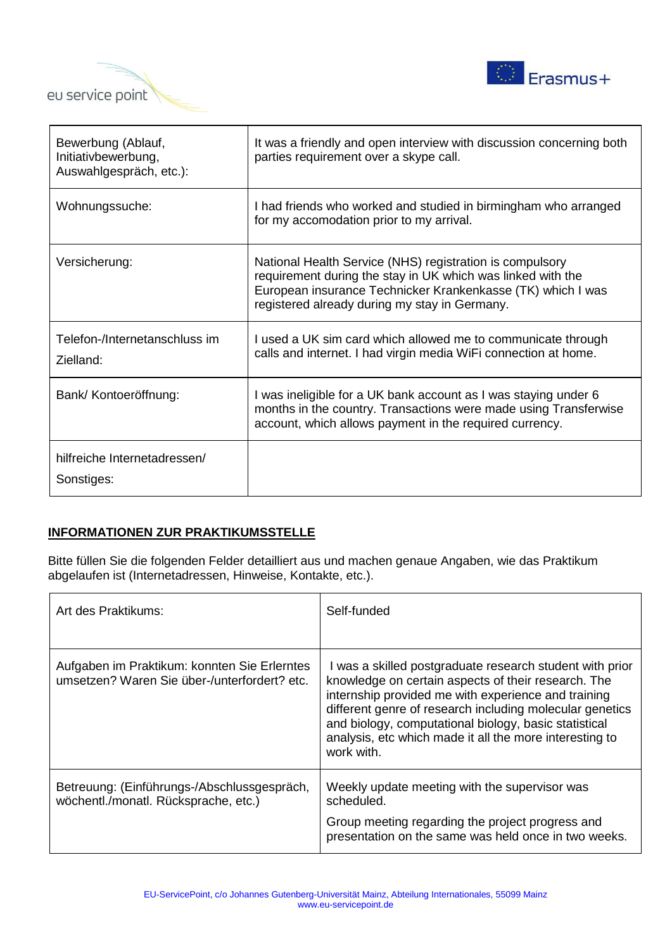



| Bewerbung (Ablauf,<br>Initiativbewerbung,<br>Auswahlgespräch, etc.): | It was a friendly and open interview with discussion concerning both<br>parties requirement over a skype call.                                                                                                                          |
|----------------------------------------------------------------------|-----------------------------------------------------------------------------------------------------------------------------------------------------------------------------------------------------------------------------------------|
| Wohnungssuche:                                                       | I had friends who worked and studied in birmingham who arranged<br>for my accomodation prior to my arrival.                                                                                                                             |
| Versicherung:                                                        | National Health Service (NHS) registration is compulsory<br>requirement during the stay in UK which was linked with the<br>European insurance Technicker Krankenkasse (TK) which I was<br>registered already during my stay in Germany. |
| Telefon-/Internetanschluss im<br>Zielland:                           | I used a UK sim card which allowed me to communicate through<br>calls and internet. I had virgin media WiFi connection at home.                                                                                                         |
| Bank/ Kontoeröffnung:                                                | I was ineligible for a UK bank account as I was staying under 6<br>months in the country. Transactions were made using Transferwise<br>account, which allows payment in the required currency.                                          |
| hilfreiche Internetadressen/<br>Sonstiges:                           |                                                                                                                                                                                                                                         |

### **INFORMATIONEN ZUR PRAKTIKUMSSTELLE**

Bitte füllen Sie die folgenden Felder detailliert aus und machen genaue Angaben, wie das Praktikum abgelaufen ist (Internetadressen, Hinweise, Kontakte, etc.).

| Art des Praktikums:                                                                          | Self-funded                                                                                                                                                                                                                                                                                                                                                          |
|----------------------------------------------------------------------------------------------|----------------------------------------------------------------------------------------------------------------------------------------------------------------------------------------------------------------------------------------------------------------------------------------------------------------------------------------------------------------------|
| Aufgaben im Praktikum: konnten Sie Erlerntes<br>umsetzen? Waren Sie über-/unterfordert? etc. | I was a skilled postgraduate research student with prior<br>knowledge on certain aspects of their research. The<br>internship provided me with experience and training<br>different genre of research including molecular genetics<br>and biology, computational biology, basic statistical<br>analysis, etc which made it all the more interesting to<br>work with. |
| Betreuung: (Einführungs-/Abschlussgespräch,<br>wöchentl./monatl. Rücksprache, etc.)          | Weekly update meeting with the supervisor was<br>scheduled.<br>Group meeting regarding the project progress and<br>presentation on the same was held once in two weeks.                                                                                                                                                                                              |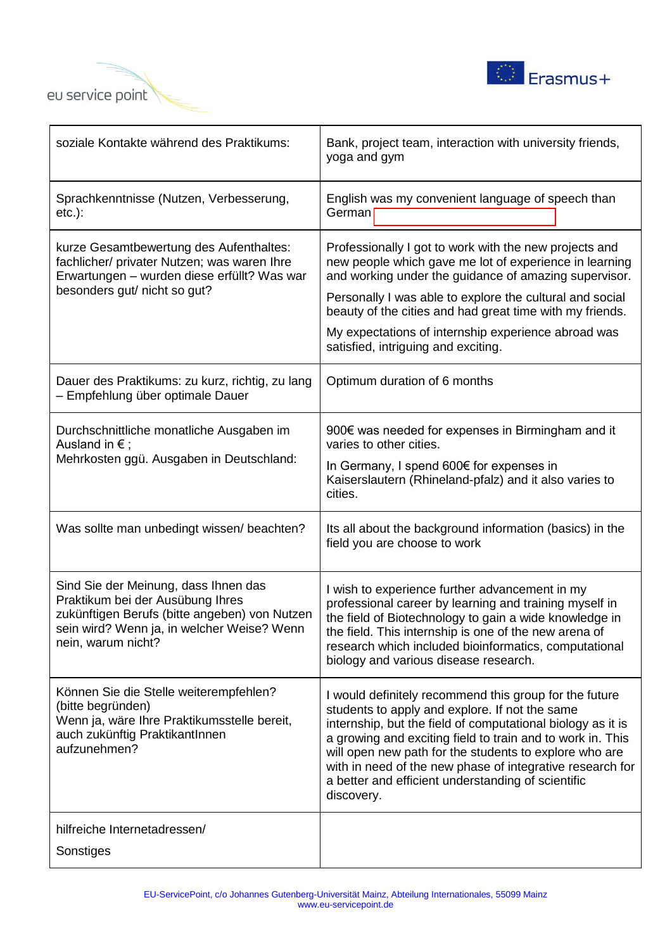



| soziale Kontakte während des Praktikums:                                                                                                                                                      | Bank, project team, interaction with university friends,<br>yoga and gym                                                                                                                                                                                                                                                                                                                                                         |  |
|-----------------------------------------------------------------------------------------------------------------------------------------------------------------------------------------------|----------------------------------------------------------------------------------------------------------------------------------------------------------------------------------------------------------------------------------------------------------------------------------------------------------------------------------------------------------------------------------------------------------------------------------|--|
| Sprachkenntnisse (Nutzen, Verbesserung,<br>$etc.$ ):                                                                                                                                          | English was my convenient language of speech than<br>German                                                                                                                                                                                                                                                                                                                                                                      |  |
| kurze Gesamtbewertung des Aufenthaltes:<br>fachlicher/ privater Nutzen; was waren Ihre<br>Erwartungen – wurden diese erfüllt? Was war<br>besonders gut/ nicht so gut?                         | Professionally I got to work with the new projects and<br>new people which gave me lot of experience in learning<br>and working under the guidance of amazing supervisor.<br>Personally I was able to explore the cultural and social<br>beauty of the cities and had great time with my friends.<br>My expectations of internship experience abroad was<br>satisfied, intriguing and exciting.                                  |  |
| Dauer des Praktikums: zu kurz, richtig, zu lang<br>- Empfehlung über optimale Dauer                                                                                                           | Optimum duration of 6 months                                                                                                                                                                                                                                                                                                                                                                                                     |  |
| Durchschnittliche monatliche Ausgaben im<br>Ausland in $\epsilon$ ;<br>Mehrkosten ggü. Ausgaben in Deutschland:                                                                               | 900€ was needed for expenses in Birmingham and it<br>varies to other cities.<br>In Germany, I spend 600€ for expenses in<br>Kaiserslautern (Rhineland-pfalz) and it also varies to<br>cities.                                                                                                                                                                                                                                    |  |
| Was sollte man unbedingt wissen/ beachten?                                                                                                                                                    | Its all about the background information (basics) in the<br>field you are choose to work                                                                                                                                                                                                                                                                                                                                         |  |
| Sind Sie der Meinung, dass Ihnen das<br>Praktikum bei der Ausübung Ihres<br>zukünftigen Berufs (bitte angeben) von Nutzen<br>sein wird? Wenn ja, in welcher Weise? Wenn<br>nein, warum nicht? | I wish to experience further advancement in my<br>professional career by learning and training myself in<br>the field of Biotechnology to gain a wide knowledge in<br>the field. This internship is one of the new arena of<br>research which included bioinformatics, computational<br>biology and various disease research.                                                                                                    |  |
| Können Sie die Stelle weiterempfehlen?<br>(bitte begründen)<br>Wenn ja, wäre Ihre Praktikumsstelle bereit,<br>auch zukünftig PraktikantInnen<br>aufzunehmen?                                  | I would definitely recommend this group for the future<br>students to apply and explore. If not the same<br>internship, but the field of computational biology as it is<br>a growing and exciting field to train and to work in. This<br>will open new path for the students to explore who are<br>with in need of the new phase of integrative research for<br>a better and efficient understanding of scientific<br>discovery. |  |
| hilfreiche Internetadressen/<br>Sonstiges                                                                                                                                                     |                                                                                                                                                                                                                                                                                                                                                                                                                                  |  |